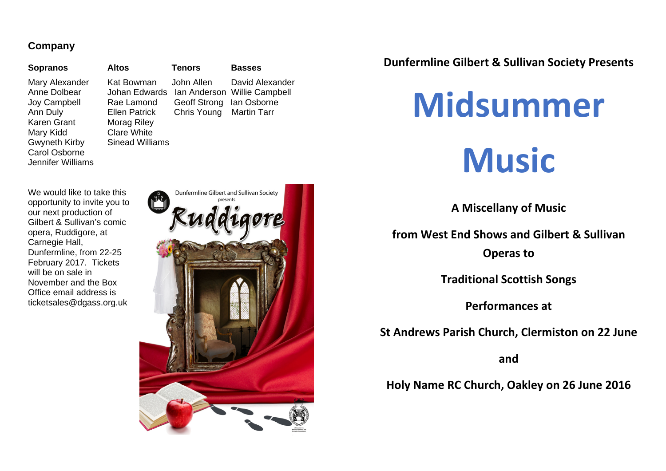#### **Company**

#### **Sopranos Altos Tenors Basses**

Karen Grant Morag Riley Mary Kidd Clare White<br>Gwyneth Kirby Sinead Williams **Gwyneth Kirby** Carol Osborne Jennifer Williams

Mary Alexander Kat Bowman John Allen David Alexander Anne Dolbear Johan Edwards Ian Anderson Willie Campbell Joy Campbell Rae Lamond Geoff Strong Ian Osborne Ann Duly Ellen Patrick Chris Young Martin Tarr

We would like to take this opportunity to invite you to our next production of Gilbert & Sullivan's comic opera, Ruddigore, at Carnegie Hall, Dunfermline, from 22-25 February 2017. Tickets will be on sale in November and the Box Office email address is ticketsales@dgass.org.uk



#### **Dunfermline Gilbert & Sullivan Society Presents**



**A Miscellany of Music**

**from West End Shows and Gilbert & Sullivan**

**Operas to**

**Traditional Scottish Songs**

**Performances at**

**St Andrews Parish Church, Clermiston on 22 June**

**and**

**Holy Name RC Church, Oakley on 26 June 2016**